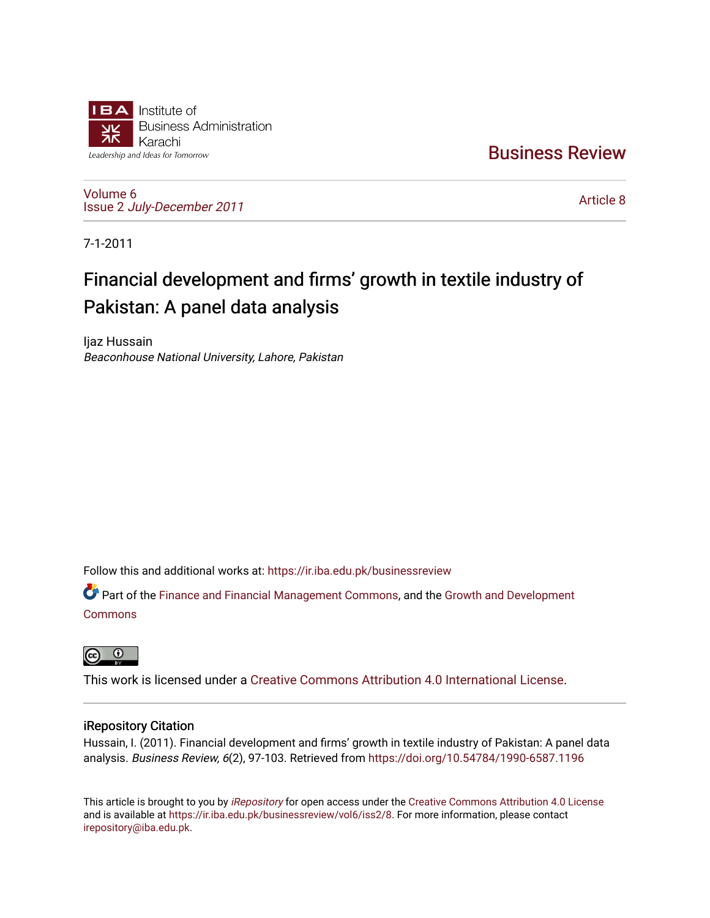

[Business Review](https://ir.iba.edu.pk/businessreview) 

[Volume 6](https://ir.iba.edu.pk/businessreview/vol6) Issue 2 [July-December 2011](https://ir.iba.edu.pk/businessreview/vol6/iss2)

[Article 8](https://ir.iba.edu.pk/businessreview/vol6/iss2/8) 

7-1-2011

# Financial development and firms' growth in textile industry of Pakistan: A panel data analysis

Ijaz Hussain Beaconhouse National University, Lahore, Pakistan

Follow this and additional works at: [https://ir.iba.edu.pk/businessreview](https://ir.iba.edu.pk/businessreview?utm_source=ir.iba.edu.pk%2Fbusinessreview%2Fvol6%2Fiss2%2F8&utm_medium=PDF&utm_campaign=PDFCoverPages) 

Part of the [Finance and Financial Management Commons,](http://network.bepress.com/hgg/discipline/631?utm_source=ir.iba.edu.pk%2Fbusinessreview%2Fvol6%2Fiss2%2F8&utm_medium=PDF&utm_campaign=PDFCoverPages) and the [Growth and Development](http://network.bepress.com/hgg/discipline/346?utm_source=ir.iba.edu.pk%2Fbusinessreview%2Fvol6%2Fiss2%2F8&utm_medium=PDF&utm_campaign=PDFCoverPages)  [Commons](http://network.bepress.com/hgg/discipline/346?utm_source=ir.iba.edu.pk%2Fbusinessreview%2Fvol6%2Fiss2%2F8&utm_medium=PDF&utm_campaign=PDFCoverPages)



This work is licensed under a [Creative Commons Attribution 4.0 International License](https://creativecommons.org/licenses/by/4.0/).

# iRepository Citation

Hussain, I. (2011). Financial development and firms' growth in textile industry of Pakistan: A panel data analysis. Business Review, 6(2), 97-103. Retrieved from <https://doi.org/10.54784/1990-6587.1196>

This article is brought to you by [iRepository](https://ir.iba.edu.pk/) for open access under the Creative Commons Attribution 4.0 License and is available at [https://ir.iba.edu.pk/businessreview/vol6/iss2/8.](https://ir.iba.edu.pk/businessreview/vol6/iss2/8) For more information, please contact [irepository@iba.edu.pk.](mailto:irepository@iba.edu.pk)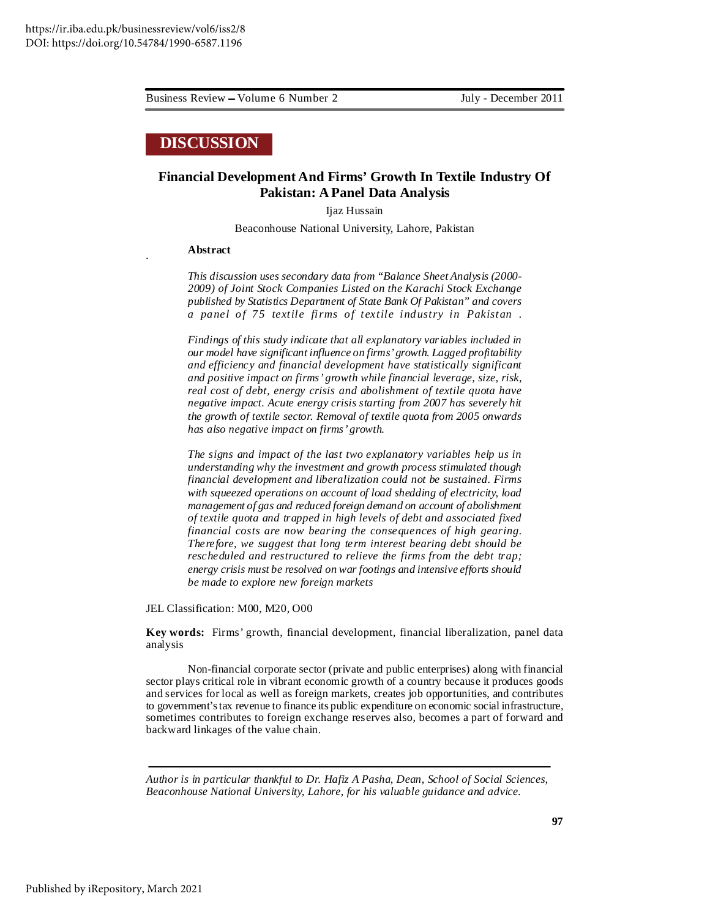*.*

Business Review Volume 6 Number 2 July - December 2011

# **DISCUSSION**

# **Financial Development And Firms' Growth In Textile Industry Of Pakistan: A Panel Data Analysis**

Ijaz Hussain

Beaconhouse National University, Lahore, Pakistan

### **Abstract**

*This discussion uses secondary data from "Balance Sheet Analysis (2000- 2009) of Joint Stock Companies Listed on the Karachi Stock Exchange published by Statistics Department of State Bank Of Pakistan" and covers a panel of 75 textile firms of textile industry in Pakistan .*

*Findings of this study indicate that all explanatory variables included in our model have significant influence on firms' growth. Lagged profitability and efficiency and financial development have statistically significant and positive impact on firms' growth while financial leverage, size, risk, real cost of debt, energy crisis and abolishment of textile quota have negative impact. Acute energy crisis starting from 2007 has severely hit the growth of textile sector. Removal of textile quota from 2005 onwards has also negative impact on firms' growth.*

*The signs and impact of the last two explanatory variables help us in understanding why the investment and growth process stimulated though financial development and liberalization could not be sustained. Firms with squeezed operations on account of load shedding of electricity, load management of gas and reduced foreign demand on account of abolishment of textile quota and trapped in high levels of debt and associated fixed financial costs are now bearing the consequences of high gearing. Therefore, we suggest that long term interest bearing debt should be rescheduled and restructured to relieve the firms from the debt trap; energy crisis must be resolved on war footings and intensive efforts should be made to explore new foreign markets*

JEL Classification: M00, M20, O00

**Key words:** Firms' growth, financial development, financial liberalization, panel data analysis

Non-financial corporate sector (private and public enterprises) along with financial sector plays critical role in vibrant economic growth of a country because it produces goods and services for local as well as foreign markets, creates job opportunities, and contributes to government'stax revenue to finance its public expenditure on economic social infrastructure, sometimes contributes to foreign exchange reserves also, becomes a part of forward and backward linkages of the value chain.

*Author is in particular thankful to Dr. Hafiz A Pasha, Dean, School of Social Sciences, Beaconhouse National University, Lahore, for his valuable guidance and advice.*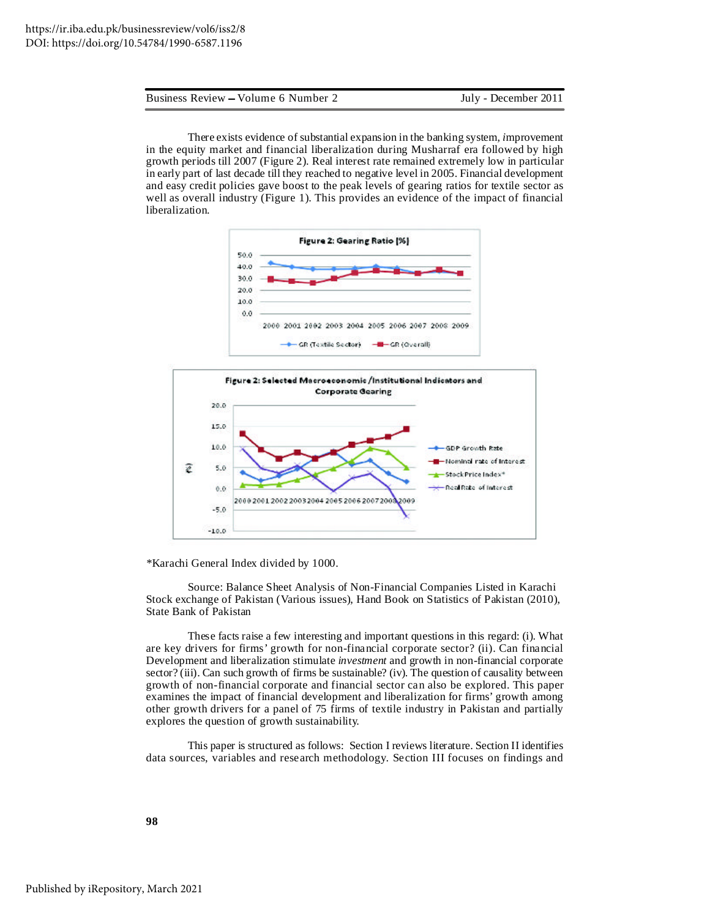Business Review Volume 6 Number 2 July - December 2011

There exists evidence of substantial expansion in the banking system*, i*mprovement in the equity market and financial liberalization during Musharraf era followed by high growth periods till 2007 (Figure 2). Real interest rate remained extremely low in particular in early part of last decade till they reached to negative level in 2005. Financial development and easy credit policies gave boost to the peak levels of gearing ratios for textile sector as well as overall industry (Figure 1). This provides an evidence of the impact of financial liberalization.





*\**Karachi General Index divided by 1000.

Source: Balance Sheet Analysis of Non-Financial Companies Listed in Karachi Stock exchange of Pakistan (Various issues), Hand Book on Statistics of Pakistan (2010), State Bank of Pakistan

These facts raise a few interesting and important questions in this regard: (i). What are key drivers for firms' growth for non-financial corporate sector? (ii). Can financial Development and liberalization stimulate *investment* and growth in non-financial corporate sector? (iii). Can such growth of firms be sustainable? (iv). The question of causality between growth of non-financial corporate and financial sector can also be explored. This paper examines the impact of financial development and liberalization for firms' growth among other growth drivers for a panel of 75 firms of textile industry in Pakistan and partially explores the question of growth sustainability.

This paper is structured as follows: Section I reviews literature. Section II identifies data sources, variables and research methodology. Section III focuses on findings and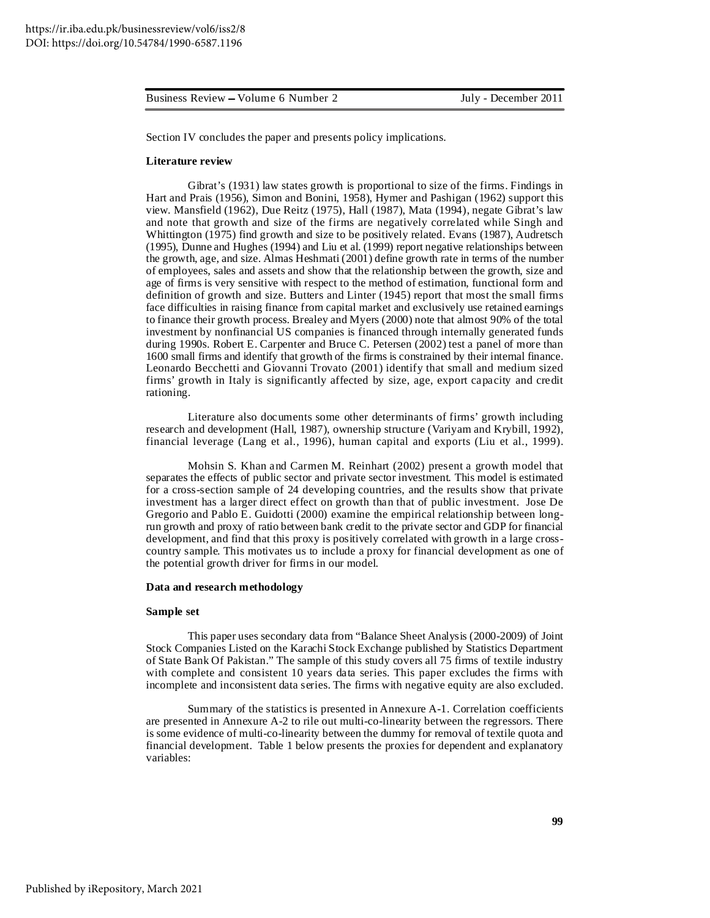Business Review Volume 6 Number 2 July - December 2011

Section IV concludes the paper and presents policy implications.

#### **Literature review**

Gibrat's (1931) law states growth is proportional to size of the firms. Findings in Hart and Prais (1956), Simon and Bonini, 1958), Hymer and Pashigan (1962) support this view. Mansfield (1962), Due Reitz (1975), Hall (1987), Mata (1994), negate Gibrat's law and note that growth and size of the firms are negatively correlated while Singh and Whittington (1975) find growth and size to be positively related. Evans (1987), Audretsch (1995), Dunne and Hughes (1994) and Liu et al. (1999) report negative relationships between the growth, age, and size. Almas Heshmati (2001) define growth rate in terms of the number of employees, sales and assets and show that the relationship between the growth, size and age of firms is very sensitive with respect to the method of estimation, functional form and definition of growth and size. Butters and Linter (1945) report that most the small firms face difficulties in raising finance from capital market and exclusively use retained earnings to finance their growth process. Brealey and Myers (2000) note that almost 90% of the total investment by nonfinancial US companies is financed through internally generated funds during 1990s. Robert E. Carpenter and Bruce C. Petersen (2002) test a panel of more than 1600 small firms and identify that growth of the firms is constrained by their internal finance. Leonardo Becchetti and Giovanni Trovato (2001) identify that small and medium sized firms' growth in Italy is significantly affected by size, age, export capacity and credit rationing.

Literature also documents some other determinants of firms' growth including research and development (Hall, 1987), ownership structure (Variyam and Krybill, 1992), financial leverage (Lang et al., 1996), human capital and exports (Liu et al., 1999).

Mohsin S. Khan and Carmen M. Reinhart (2002) present a growth model that separates the effects of public sector and private sector investment*.* This model is estimated for a cross-section sample of 24 developing countries, and the results show that private investment has a larger direct effect on growth than that of public investment. Jose De Gregorio and Pablo E. Guidotti (2000) examine the empirical relationship between longrun growth and proxy of ratio between bank credit to the private sector and GDP for financial development, and find that this proxy is positively correlated with growth in a large crosscountry sample. This motivates us to include a proxy for financial development as one of the potential growth driver for firms in our model.

#### **Data and research methodology**

### **Sample set**

This paper uses secondary data from "Balance Sheet Analysis (2000-2009) of Joint Stock Companies Listed on the Karachi Stock Exchange published by Statistics Department of State Bank Of Pakistan." The sample of this study covers all 75 firms of textile industry with complete and consistent 10 years data series. This paper excludes the firms with incomplete and inconsistent data series. The firms with negative equity are also excluded.

Summary of the statistics is presented in Annexure A-1. Correlation coefficients are presented in Annexure A-2 to rile out multi-co-linearity between the regressors. There is some evidence of multi-co-linearity between the dummy for removal of textile quota and financial development. Table 1 below presents the proxies for dependent and explanatory variables: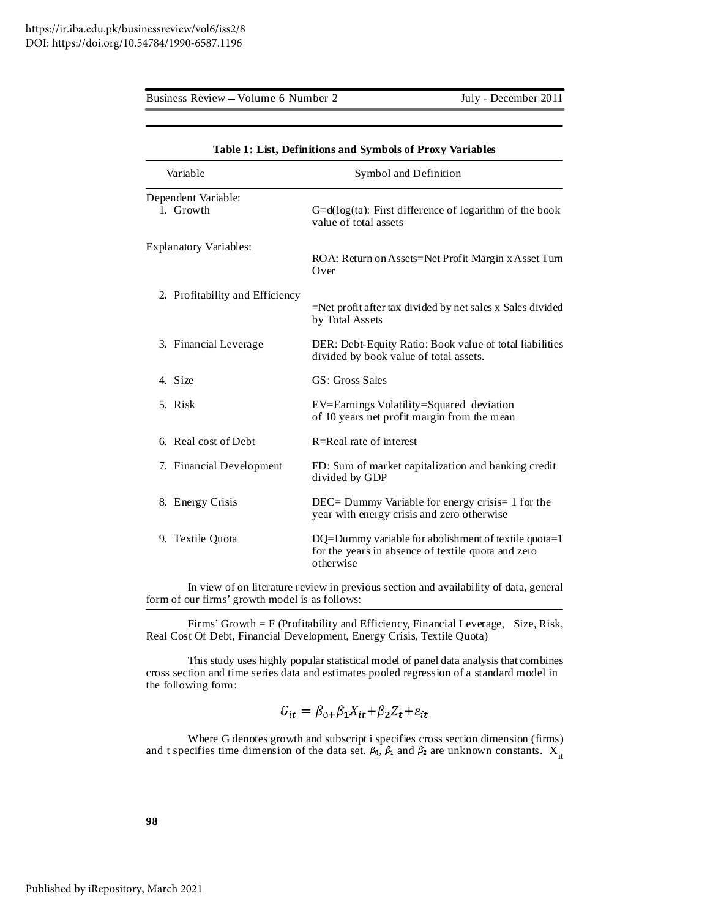Business Review - Volume 6 Number 2 July - December 2011

| $\frac{1}{2}$ . Easy, because the wind by this one of Front |                                                                                                                         |  |  |  |  |  |
|-------------------------------------------------------------|-------------------------------------------------------------------------------------------------------------------------|--|--|--|--|--|
| Variable<br>Symbol and Definition                           |                                                                                                                         |  |  |  |  |  |
| Dependent Variable:<br>1. Growth                            | $G=d(\log(ta))$ : First difference of logarithm of the book<br>value of total assets                                    |  |  |  |  |  |
| <b>Explanatory Variables:</b>                               | ROA: Return on Assets=Net Profit Margin x Asset Turn<br>Over                                                            |  |  |  |  |  |
| 2. Profitability and Efficiency                             | $=$ Net profit after tax divided by net sales x Sales divided<br>by Total Assets                                        |  |  |  |  |  |
| 3. Financial Leverage                                       | DER: Debt-Equity Ratio: Book value of total liabilities<br>divided by book value of total assets.                       |  |  |  |  |  |
| 4. Size                                                     | GS: Gross Sales                                                                                                         |  |  |  |  |  |
| 5. Risk                                                     | EV=Earnings Volatility=Squared deviation<br>of 10 years net profit margin from the mean                                 |  |  |  |  |  |
| 6. Real cost of Debt                                        | R=Real rate of interest                                                                                                 |  |  |  |  |  |
| 7. Financial Development                                    | FD: Sum of market capitalization and banking credit<br>divided by GDP                                                   |  |  |  |  |  |
| 8. Energy Crisis                                            | DEC= Dummy Variable for energy crisis= 1 for the<br>year with energy crisis and zero otherwise                          |  |  |  |  |  |
| 9. Textile Quota                                            | DQ=Dummy variable for abolishment of textile quota=1<br>for the years in absence of textile quota and zero<br>otherwise |  |  |  |  |  |

|  | Table 1: List, Definitions and Symbols of Proxy Variables |
|--|-----------------------------------------------------------|
|  |                                                           |

In view of on literature review in previous section and availability of data, general form of our firms' growth model is as follows:

Firms' Growth = F (Profitability and Efficiency, Financial Leverage, Size, Risk, Real Cost Of Debt, Financial Development, Energy Crisis, Textile Quota)

This study uses highly popular statistical model of panel data analysis that combines cross section and time series data and estimates pooled regression of a standard model in the following form:

$$
G_{it} = \beta_{0+} \beta_1 X_{it} + \beta_2 Z_t + \varepsilon_{it}
$$

Where G denotes growth and subscript i specifies cross section dimension (firms) and t specifies time dimension of the data set.  $\beta_0$ ,  $\beta_1$  and  $\beta_2$  are unknown constants.  $X_{it}$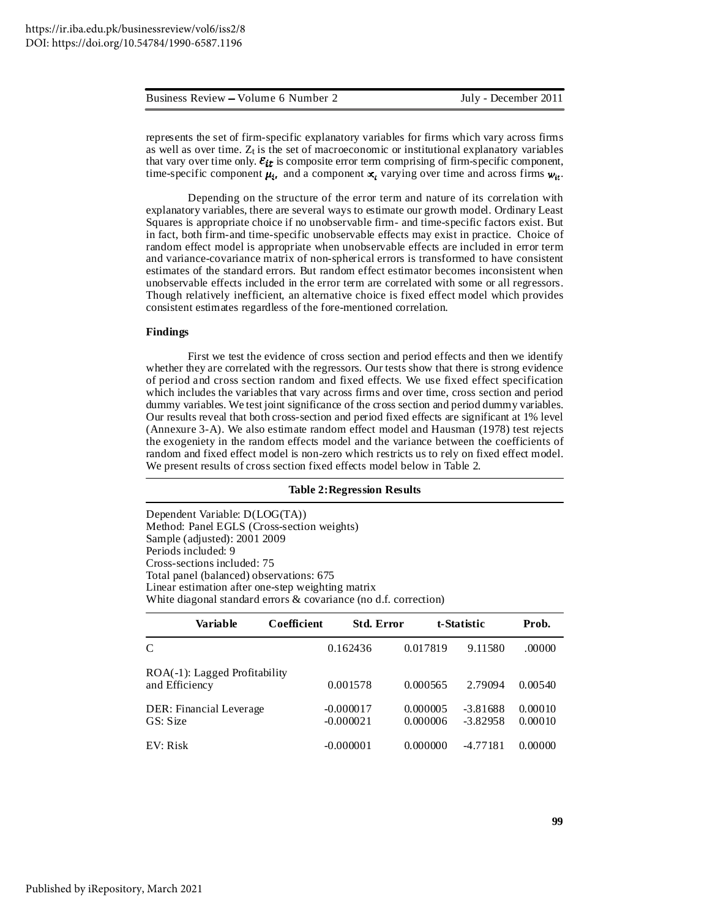|  |  | Business Review – Volume 6 Number 2 |  |  |  |  |
|--|--|-------------------------------------|--|--|--|--|
|--|--|-------------------------------------|--|--|--|--|

represents the set of firm-specific explanatory variables for firms which vary across firms as well as over time.  $Z_t$  is the set of macroeconomic or institutional explanatory variables that vary over time only.  $\varepsilon_{it}$  is composite error term comprising of firm-specific component, time-specific component  $\mu_i$ , and a component  $x_i$  varying over time and across firms  $w_{it}$ .

Depending on the structure of the error term and nature of its correlation with explanatory variables, there are several ways to estimate our growth model. Ordinary Least Squares is appropriate choice if no unobservable firm- and time-specific factors exist. But in fact, both firm-and time-specific unobservable effects may exist in practice. Choice of random effect model is appropriate when unobservable effects are included in error term and variance-covariance matrix of non-spherical errors is transformed to have consistent estimates of the standard errors. But random effect estimator becomes inconsistent when unobservable effects included in the error term are correlated with some or all regressors. Though relatively inefficient, an alternative choice is fixed effect model which provides consistent estimates regardless of the fore-mentioned correlation.

#### **Findings**

First we test the evidence of cross section and period effects and then we identify whether they are correlated with the regressors. Our tests show that there is strong evidence of period and cross section random and fixed effects. We use fixed effect specification which includes the variables that vary across firms and over time, cross section and period dummy variables. We test joint significance of the cross section and period dummy variables. Our results reveal that both cross-section and period fixed effects are significant at 1% level (Annexure 3-A). We also estimate random effect model and Hausman (1978) test rejects the exogeniety in the random effects model and the variance between the coefficients of random and fixed effect model is non-zero which restricts us to rely on fixed effect model. We present results of cross section fixed effects model below in Table 2*.*

#### **Table 2:Regression Results**

Dependent Variable: D(LOG(TA)) Method: Panel EGLS (Cross-section weights) Sample (adjusted): 2001 2009 Periods included: 9 Cross-sections included: 75 Total panel (balanced) observations: 675 Linear estimation after one-step weighting matrix White diagonal standard errors & covariance (no d.f. correction)

|                | Variable                      | Coefficient |                            | <b>Std. Error</b>    | t-Statistic |                          | Prob.              |
|----------------|-------------------------------|-------------|----------------------------|----------------------|-------------|--------------------------|--------------------|
| $\mathcal{C}$  |                               |             | 0.162436                   | 0.017819             |             | 9.11580                  | .00000             |
| and Efficiency | ROA(-1): Lagged Profitability |             | 0.001578                   | 0.000565             |             | 2.79094                  | 0.00540            |
| GS: Size       | DER: Financial Leverage       |             | $-0.000017$<br>$-0.000021$ | 0.000005<br>0.000006 |             | $-3.81688$<br>$-3.82958$ | 0.00010<br>0.00010 |
| EV: Risk       |                               |             | $-0.000001$                | 0.000000             |             | $-4.77181$               | 0.00000            |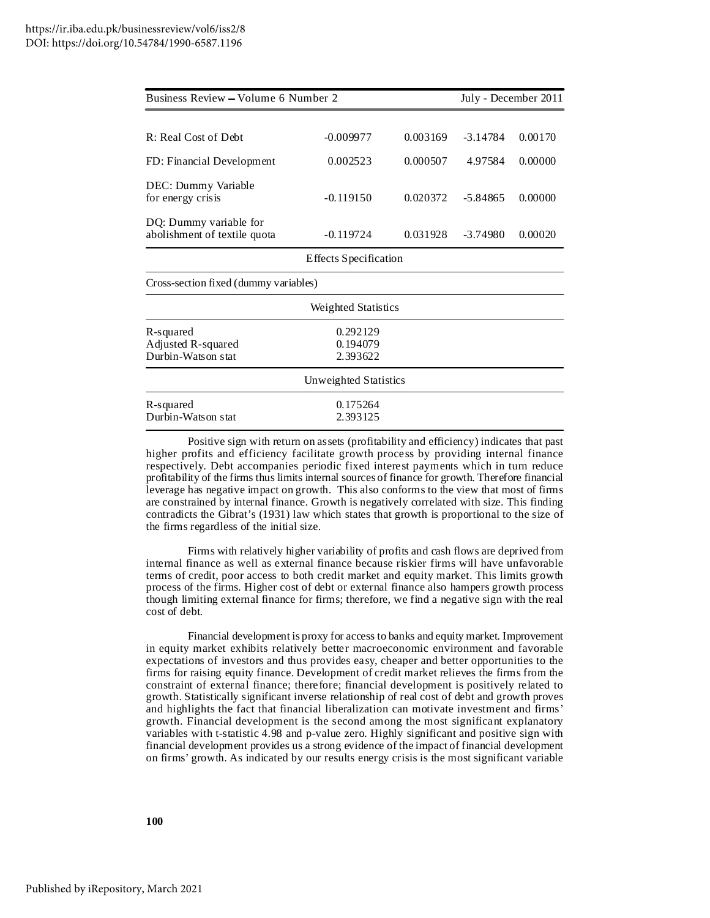| Business Review - Volume 6 Number 2                    | July - December 2011             |          |            |         |
|--------------------------------------------------------|----------------------------------|----------|------------|---------|
|                                                        |                                  |          |            |         |
| R: Real Cost of Debt                                   | $-0.009977$                      | 0.003169 | $-3.14784$ | 0.00170 |
| FD: Financial Development                              | 0.002523                         | 0.000507 | 4.97584    | 0.00000 |
| DEC: Dummy Variable<br>for energy crisis               | $-0.119150$                      | 0.020372 | $-5.84865$ | 0.00000 |
| DQ: Dummy variable for<br>abolishment of textile quota | $-0.119724$                      | 0.031928 | $-3.74980$ | 0.00020 |
|                                                        | <b>Effects Specification</b>     |          |            |         |
| Cross-section fixed (dummy variables)                  |                                  |          |            |         |
|                                                        | Weighted Statistics              |          |            |         |
| R-squared<br>Adjusted R-squared<br>Durbin-Watson stat  | 0.292129<br>0.194079<br>2.393622 |          |            |         |
|                                                        | Unweighted Statistics            |          |            |         |
| R-squared<br>Durbin-Watson stat                        | 0.175264<br>2.393125             |          |            |         |

Positive sign with return on assets (profitability and efficiency) indicates that past higher profits and efficiency facilitate growth process by providing internal finance respectively. Debt accompanies periodic fixed interest payments which in turn reduce profitability of the firms thus limits internal sources of finance for growth. Therefore financial leverage has negative impact on growth. This also conforms to the view that most of firms are constrained by internal finance. Growth is negatively correlated with size. This finding contradicts the Gibrat's (1931) law which states that growth is proportional to the size of the firms regardless of the initial size.

Firms with relatively higher variability of profits and cash flows are deprived from internal finance as well as external finance because riskier firms will have unfavorable terms of credit, poor access to both credit market and equity market. This limits growth process of the firms. Higher cost of debt or external finance also hampers growth process though limiting external finance for firms; therefore, we find a negative sign with the real cost of debt.

Financial development is proxy for access to banks and equity market. Improvement in equity market exhibits relatively better macroeconomic environment and favorable expectations of investors and thus provides easy, cheaper and better opportunities to the firms for raising equity finance. Development of credit market relieves the firms from the constraint of external finance; therefore; financial development is positively related to growth. Statistically significant inverse relationship of real cost of debt and growth proves and highlights the fact that financial liberalization can motivate investment and firms' growth. Financial development is the second among the most significant explanatory variables with t-statistic 4.98 and p-value zero. Highly significant and positive sign with financial development provides us a strong evidence of the impact of financial development on firms' growth. As indicated by our results energy crisis is the most significant variable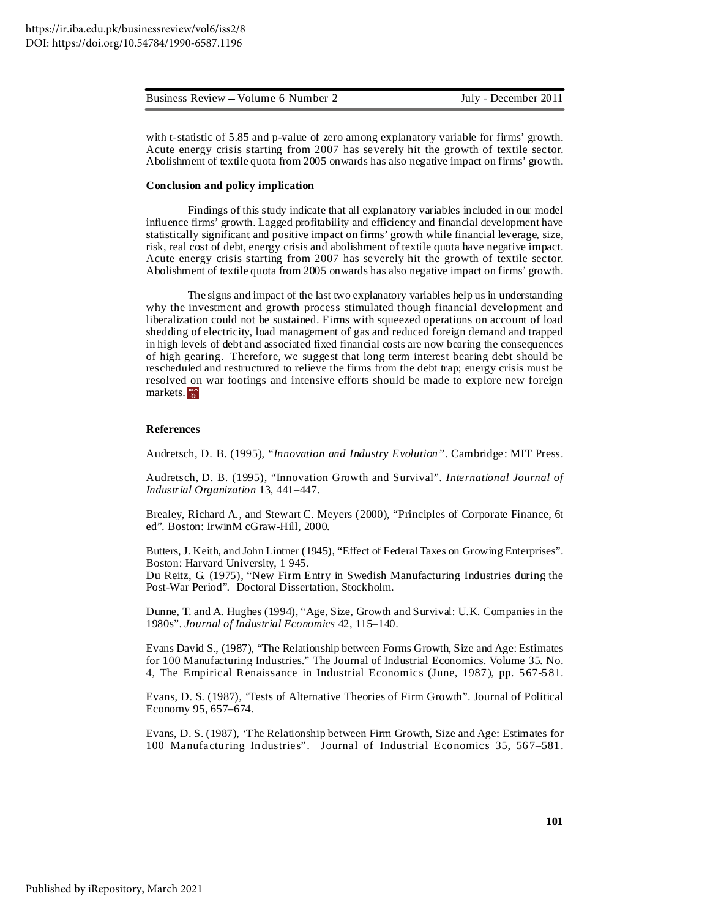| Business Review – Volume 6 Number 2 | July - December 2011 |
|-------------------------------------|----------------------|
|                                     |                      |

with t-statistic of 5.85 and p-value of zero among explanatory variable for firms' growth. Acute energy crisis starting from 2007 has severely hit the growth of textile sector. Abolishment of textile quota from 2005 onwards has also negative impact on firms' growth.

#### **Conclusion and policy implication**

Findings of this study indicate that all explanatory variables included in our model influence firms' growth. Lagged profitability and efficiency and financial development have statistically significant and positive impact on firms' growth while financial leverage, size, risk, real cost of debt, energy crisis and abolishment of textile quota have negative impact. Acute energy crisis starting from 2007 has severely hit the growth of textile sector. Abolishment of textile quota from 2005 onwards has also negative impact on firms' growth.

The signs and impact of the last two explanatory variables help us in understanding why the investment and growth process stimulated though financial development and liberalization could not be sustained. Firms with squeezed operations on account of load shedding of electricity, load management of gas and reduced foreign demand and trapped in high levels of debt and associated fixed financial costs are now bearing the consequences of high gearing. Therefore, we suggest that long term interest bearing debt should be rescheduled and restructured to relieve the firms from the debt trap; energy crisis must be resolved on war footings and intensive efforts should be made to explore new foreign markets.

### **References**

Audretsch, D. B. (1995), "*Innovation and Industry Evolution".* Cambridge: MIT Press.

Audretsch, D. B. (1995), "Innovation Growth and Survival". *International Journal of Industrial Organization* 13, 441–447.

Brealey, Richard A., and Stewart C. Meyers (2000), "Principles of Corporate Finance, 6t ed". Boston: IrwinM cGraw-Hill, 2000.

Butters, J. Keith, and John Lintner (1945), "Effect of Federal Taxes on Growing Enterprises". Boston: Harvard University, 1 945.

Du Reitz, G. (1975), "New Firm Entry in Swedish Manufacturing Industries during the Post-War Period". Doctoral Dissertation, Stockholm.

Dunne, T. and A. Hughes (1994), "Age, Size, Growth and Survival: U.K. Companies in the 1980s". *Journal of Industrial Economics* 42, 115–140.

Evans David S., (1987), "The Relationship between Forms Growth, Size and Age: Estimates for 100 Manufacturing Industries." The Journal of Industrial Economics. Volume 35. No. 4, The Empirical Renaissance in Industrial Economics (June, 1987), pp. 567-581.

Evans, D. S. (1987), 'Tests of Alternative Theories of Firm Growth". Journal of Political Economy 95, 657–674.

Evans, D. S. (1987), 'The Relationship between Firm Growth, Size and Age: Estimates for 100 Manufacturing Industries". Journal of Industrial Economics 35, 567–581.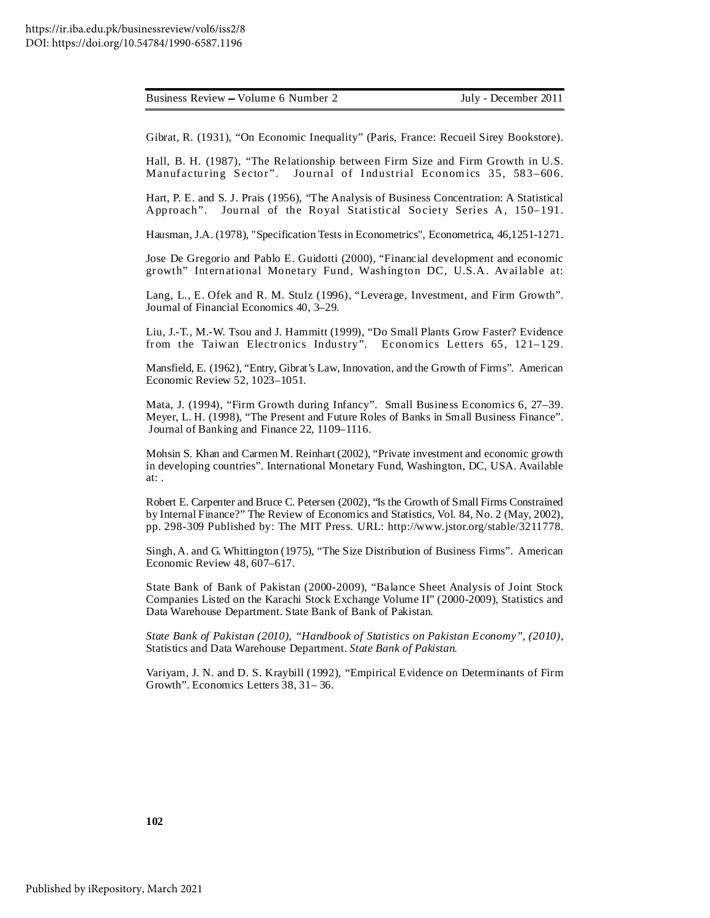Gibrat, R. (1931), "On Economic Inequality" (Paris, France: Recueil Sirey Bookstore).

Hall, B. H. (1987), "The Relationship between Firm Size and Firm Growth in U.S. Manufacturing Sector". Journal of Industrial Economics 35, 583-606.

Hart, P. E. and S. J. Prais (1956), "The Analysis of Business Concentration: A Statistical Approach". Journal of the Royal Statistical Society Series A, 150–191.

Hausman, J.A. (1978), "Specification Tests in Econometrics", Econometrica, 46,1251-1271.

Jose De Gregorio and Pablo E. Guidotti (2000), "Financial development and economic growth" International Monetary Fund, Washington DC, U.S.A. Available at:

Lang, L., E. Ofek and R. M. Stulz (1996), "Leverage, Investment, and Firm Growth". Journal of Financial Economics 40, 3–29.

Liu, J.-T., M.-W. Tsou and J. Hammitt (1999), "Do Small Plants Grow Faster? Evidence from the Taiwan Electronics Industry". Economics Letters 65, 121-129.

Mansfield, E. (1962), "Entry, Gibrat's Law, Innovation, and the Growth of Firms". American Economic Review 52, 1023–1051.

Mata, J. (1994), "Firm Growth during Infancy". Small Business Economics 6, 27–39. Meyer, L. H. (1998), "The Present and Future Roles of Banks in Small Business Finance". Journal of Banking and Finance 22, 1109–1116.

Mohsin S. Khan and Carmen M. Reinhart (2002), "Private investment and economic growth in developing countries". International Monetary Fund, Washington, DC, USA. Available at: .

Robert E. Carpenter and Bruce C. Petersen (2002), "Is the Growth of Small Firms Constrained by Internal Finance?" The Review of Economics and Statistics, Vol. 84, No. 2 (May, 2002), pp. 298-309 Published by: The MIT Press. URL: http://www.jstor.org/stable/3211778.

Singh,A. and G. Whittington (1975), "The Size Distribution of Business Firms". American Economic Review 48, 607–617.

State Bank of Bank of Pakistan (2000-2009), "Balance Sheet Analysis of Joint Stock Companies Listed on the Karachi Stock Exchange Volume II" (2000-2009), Statistics and Data Warehouse Department. State Bank of Bank of Pakistan.

*State Bank of Pakistan (2010), "Handbook of Statistics on Pakistan Economy", (2010),* Statistics and Data Warehouse Department. *State Bank of Pakistan.*

Variyam, J. N. and D. S. Kraybill (1992), "Empirical Evidence on Determinants of Firm Growth". Economics Letters 38, 31– 36.